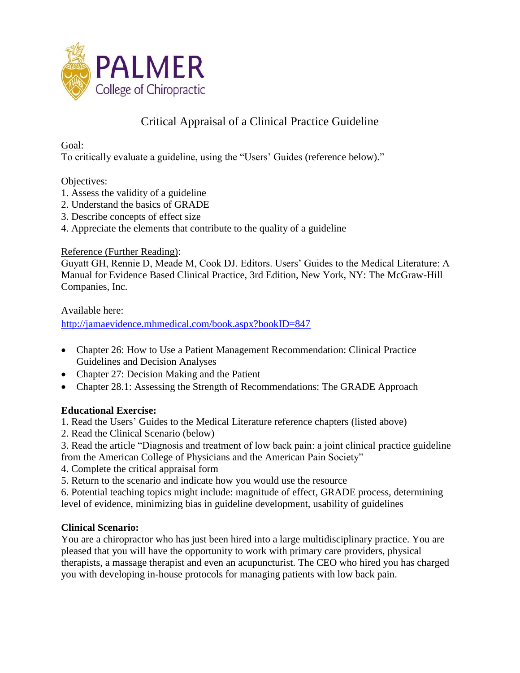

# Critical Appraisal of a Clinical Practice Guideline

Goal:

To critically evaluate a guideline, using the "Users' Guides (reference below)."

### Objectives:

- 1. Assess the validity of a guideline
- 2. Understand the basics of GRADE
- 3. Describe concepts of effect size
- 4. Appreciate the elements that contribute to the quality of a guideline

### Reference (Further Reading):

Guyatt GH, Rennie D, Meade M, Cook DJ. Editors. Users' Guides to the Medical Literature: A Manual for Evidence Based Clinical Practice, 3rd Edition, New York, NY: The McGraw-Hill Companies, Inc.

Available here:

<http://jamaevidence.mhmedical.com/book.aspx?bookID=847>

- Chapter 26: How to Use a Patient Management Recommendation: Clinical Practice Guidelines and Decision Analyses
- Chapter 27: Decision Making and the Patient
- Chapter 28.1: Assessing the Strength of Recommendations: The GRADE Approach

## **Educational Exercise:**

- 1. Read the Users' Guides to the Medical Literature reference chapters (listed above)
- 2. Read the Clinical Scenario (below)
- 3. Read the article "Diagnosis and treatment of low back pain: a joint clinical practice guideline from the American College of Physicians and the American Pain Society"
- 4. Complete the critical appraisal form
- 5. Return to the scenario and indicate how you would use the resource

6. Potential teaching topics might include: magnitude of effect, GRADE process, determining level of evidence, minimizing bias in guideline development, usability of guidelines

## **Clinical Scenario:**

You are a chiropractor who has just been hired into a large multidisciplinary practice. You are pleased that you will have the opportunity to work with primary care providers, physical therapists, a massage therapist and even an acupuncturist. The CEO who hired you has charged you with developing in-house protocols for managing patients with low back pain.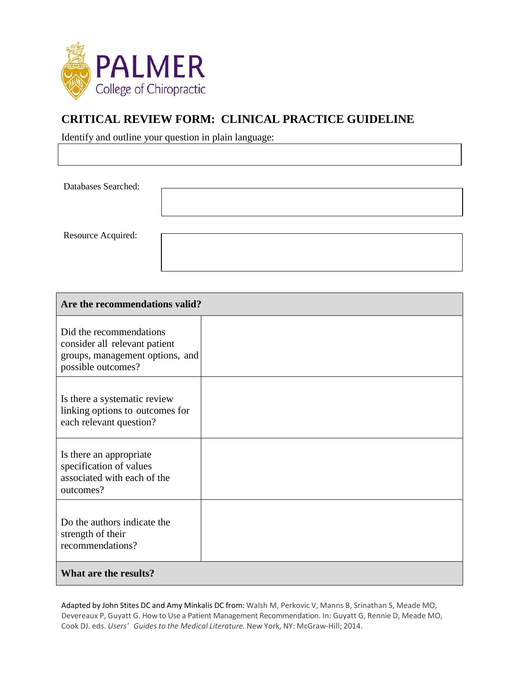

## **CRITICAL REVIEW FORM: CLINICAL PRACTICE GUIDELINE**

Identify and outline your question in plain language:

Databases Searched:

Resource Acquired:

| Are the recommendations valid?                                                                                    |  |  |
|-------------------------------------------------------------------------------------------------------------------|--|--|
| Did the recommendations<br>consider all relevant patient<br>groups, management options, and<br>possible outcomes? |  |  |
| Is there a systematic review<br>linking options to outcomes for<br>each relevant question?                        |  |  |
| Is there an appropriate<br>specification of values<br>associated with each of the<br>outcomes?                    |  |  |
| Do the authors indicate the<br>strength of their<br>recommendations?                                              |  |  |
| What are the results?                                                                                             |  |  |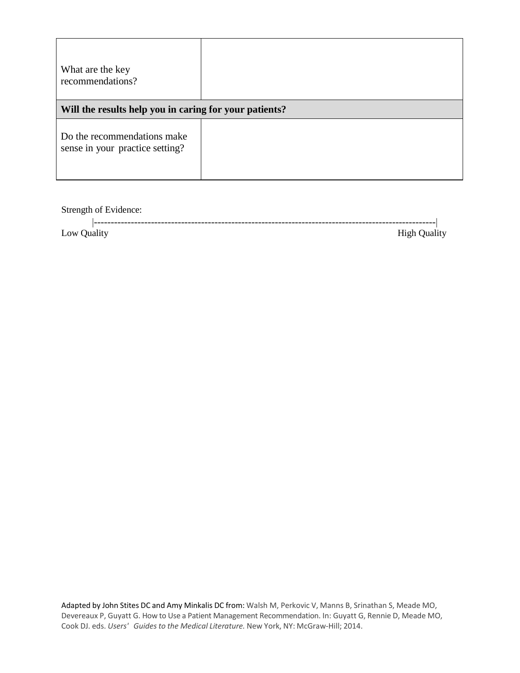| What are the key<br>recommendations?                           |  |  |
|----------------------------------------------------------------|--|--|
| Will the results help you in caring for your patients?         |  |  |
| Do the recommendations make<br>sense in your practice setting? |  |  |

Strength of Evidence:

|                  | .            |               |
|------------------|--------------|---------------|
|                  |              |               |
| Low <sub>1</sub> | ліант<br>uuu | High<br>ualit |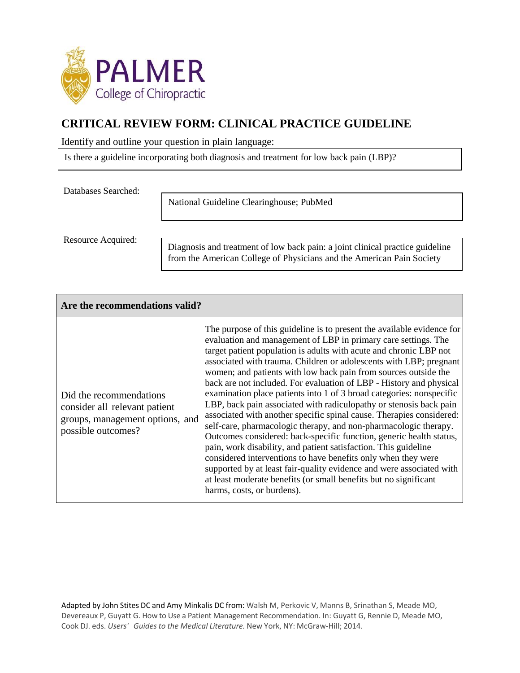

## **CRITICAL REVIEW FORM: CLINICAL PRACTICE GUIDELINE**

Identify and outline your question in plain language:

Is there a guideline incorporating both diagnosis and treatment for low back pain (LBP)?

Databases Searched:

National Guideline Clearinghouse; PubMed

Resource Acquired:

Diagnosis and treatment of low back pain: a joint clinical practice guideline from the American College of Physicians and the American Pain Society

| Are the recommendations valid?                                                                                    |                                                                                                                                                                                                                                                                                                                                                                                                                                                                                                                                                                                                                                                                                                                                                                                                                                                                                                                                                                                                                                                                                                               |  |  |
|-------------------------------------------------------------------------------------------------------------------|---------------------------------------------------------------------------------------------------------------------------------------------------------------------------------------------------------------------------------------------------------------------------------------------------------------------------------------------------------------------------------------------------------------------------------------------------------------------------------------------------------------------------------------------------------------------------------------------------------------------------------------------------------------------------------------------------------------------------------------------------------------------------------------------------------------------------------------------------------------------------------------------------------------------------------------------------------------------------------------------------------------------------------------------------------------------------------------------------------------|--|--|
| Did the recommendations<br>consider all relevant patient<br>groups, management options, and<br>possible outcomes? | The purpose of this guideline is to present the available evidence for<br>evaluation and management of LBP in primary care settings. The<br>target patient population is adults with acute and chronic LBP not<br>associated with trauma. Children or adolescents with LBP; pregnant<br>women; and patients with low back pain from sources outside the<br>back are not included. For evaluation of LBP - History and physical<br>examination place patients into 1 of 3 broad categories: nonspecific<br>LBP, back pain associated with radiculopathy or stenosis back pain<br>associated with another specific spinal cause. Therapies considered:<br>self-care, pharmacologic therapy, and non-pharmacologic therapy.<br>Outcomes considered: back-specific function, generic health status,<br>pain, work disability, and patient satisfaction. This guideline<br>considered interventions to have benefits only when they were<br>supported by at least fair-quality evidence and were associated with<br>at least moderate benefits (or small benefits but no significant<br>harms, costs, or burdens). |  |  |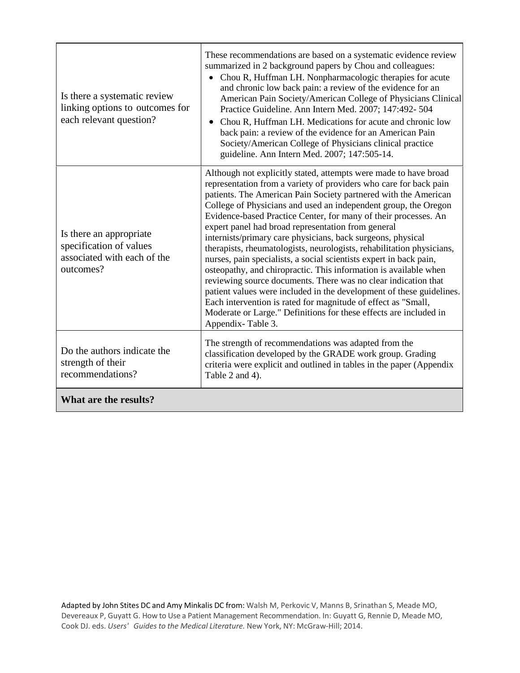| Is there a systematic review<br>linking options to outcomes for<br>each relevant question?     | These recommendations are based on a systematic evidence review<br>summarized in 2 background papers by Chou and colleagues:<br>Chou R, Huffman LH. Nonpharmacologic therapies for acute<br>and chronic low back pain: a review of the evidence for an<br>American Pain Society/American College of Physicians Clinical<br>Practice Guideline. Ann Intern Med. 2007; 147:492-504<br>Chou R, Huffman LH. Medications for acute and chronic low<br>back pain: a review of the evidence for an American Pain<br>Society/American College of Physicians clinical practice<br>guideline. Ann Intern Med. 2007; 147:505-14.                                                                                                                                                                                                                                                                                                                                                                       |  |
|------------------------------------------------------------------------------------------------|---------------------------------------------------------------------------------------------------------------------------------------------------------------------------------------------------------------------------------------------------------------------------------------------------------------------------------------------------------------------------------------------------------------------------------------------------------------------------------------------------------------------------------------------------------------------------------------------------------------------------------------------------------------------------------------------------------------------------------------------------------------------------------------------------------------------------------------------------------------------------------------------------------------------------------------------------------------------------------------------|--|
| Is there an appropriate<br>specification of values<br>associated with each of the<br>outcomes? | Although not explicitly stated, attempts were made to have broad<br>representation from a variety of providers who care for back pain<br>patients. The American Pain Society partnered with the American<br>College of Physicians and used an independent group, the Oregon<br>Evidence-based Practice Center, for many of their processes. An<br>expert panel had broad representation from general<br>internists/primary care physicians, back surgeons, physical<br>therapists, rheumatologists, neurologists, rehabilitation physicians,<br>nurses, pain specialists, a social scientists expert in back pain,<br>osteopathy, and chiropractic. This information is available when<br>reviewing source documents. There was no clear indication that<br>patient values were included in the development of these guidelines.<br>Each intervention is rated for magnitude of effect as "Small,<br>Moderate or Large." Definitions for these effects are included in<br>Appendix-Table 3. |  |
| Do the authors indicate the<br>strength of their<br>recommendations?                           | The strength of recommendations was adapted from the<br>classification developed by the GRADE work group. Grading<br>criteria were explicit and outlined in tables in the paper (Appendix<br>Table 2 and 4).                                                                                                                                                                                                                                                                                                                                                                                                                                                                                                                                                                                                                                                                                                                                                                                |  |
| What are the results?                                                                          |                                                                                                                                                                                                                                                                                                                                                                                                                                                                                                                                                                                                                                                                                                                                                                                                                                                                                                                                                                                             |  |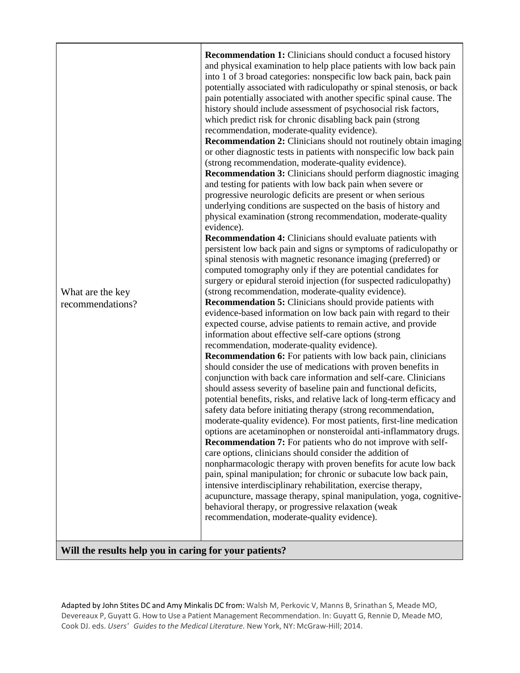#### **Will the results help you in caring for your patients?**